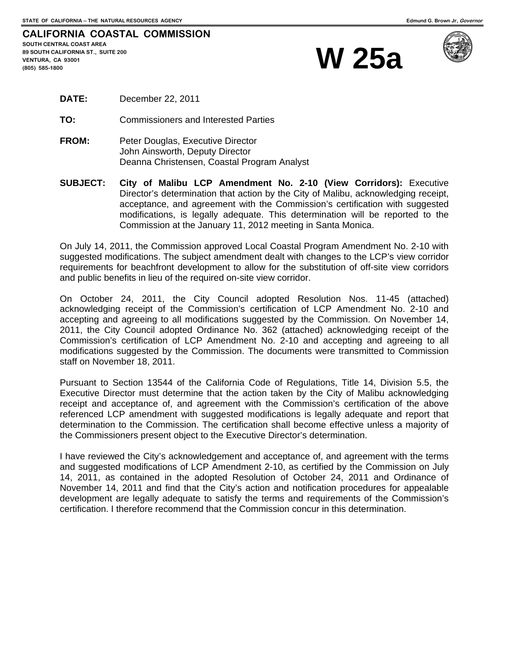| <b>CALIFORNIA COASTAL COMMISSION</b> |              |
|--------------------------------------|--------------|
| <b>SOUTH CENTRAL COAST AREA</b>      |              |
| 89 SOUTH CALIFORNIA ST., SUITE 200   | <b>W</b> 25a |
| VENTURA, CA 93001                    |              |
| $(805)$ 585-1800                     |              |



| December 22, 2011<br><b>DATE:</b> |  |  |
|-----------------------------------|--|--|
|-----------------------------------|--|--|

**TO:** Commissioners and Interested Parties

- **FROM:** Peter Douglas, Executive Director John Ainsworth, Deputy Director Deanna Christensen, Coastal Program Analyst
- **SUBJECT: City of Malibu LCP Amendment No. 2-10 (View Corridors):** Executive Director's determination that action by the City of Malibu, acknowledging receipt, acceptance, and agreement with the Commission's certification with suggested modifications, is legally adequate. This determination will be reported to the Commission at the January 11, 2012 meeting in Santa Monica.

On July 14, 2011, the Commission approved Local Coastal Program Amendment No. 2-10 with suggested modifications. The subject amendment dealt with changes to the LCP's view corridor requirements for beachfront development to allow for the substitution of off-site view corridors and public benefits in lieu of the required on-site view corridor.

On October 24, 2011, the City Council adopted Resolution Nos. 11-45 (attached) acknowledging receipt of the Commission's certification of LCP Amendment No. 2-10 and accepting and agreeing to all modifications suggested by the Commission. On November 14, 2011, the City Council adopted Ordinance No. 362 (attached) acknowledging receipt of the Commission's certification of LCP Amendment No. 2-10 and accepting and agreeing to all modifications suggested by the Commission. The documents were transmitted to Commission staff on November 18, 2011.

Pursuant to Section 13544 of the California Code of Regulations, Title 14, Division 5.5, the Executive Director must determine that the action taken by the City of Malibu acknowledging receipt and acceptance of, and agreement with the Commission's certification of the above referenced LCP amendment with suggested modifications is legally adequate and report that determination to the Commission. The certification shall become effective unless a majority of the Commissioners present object to the Executive Director's determination.

I have reviewed the City's acknowledgement and acceptance of, and agreement with the terms and suggested modifications of LCP Amendment 2-10, as certified by the Commission on July 14, 2011, as contained in the adopted Resolution of October 24, 2011 and Ordinance of November 14, 2011 and find that the City's action and notification procedures for appealable development are legally adequate to satisfy the terms and requirements of the Commission's certification. I therefore recommend that the Commission concur in this determination.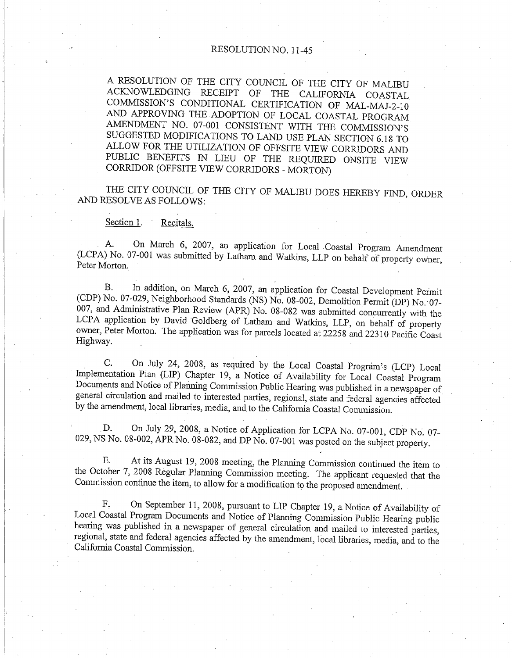# RESOLUTION NO. 11-45

A RESOLUTION OF THE CITY COUNCIL OF THE CITY OF MALIBU ACKNOWLEDGING RECEIPT OF THE CALIFORNIA COASTAL COMMISSION'S CONDITIONAL CERTIFICATION OF MAL-MAJ-2-10 AND APPROVING THE ADOPTION OF LOCAL COASTAL PROGRAM AMENDMENT NO. 07-001 CONSISTENT WITH THE COMMISSION'S SUGGESTED MODIFICATIONS TO LAND USE PLAN SECTION 6.18 TO ALLOW FOR THE UTILIZATION OF OFFSITE VIEW CORRIDORS AND PUBLIC BENEFITS IN LIEU OF THE REQUIRED ONSITE VIEW CORRIDOR (OFFSITE VIEW CORRIDORS - MORTON)

THE CITY COUNCIL OF THE CITY OF MALIBU DOES HEREBY FIND, ORDER AND RESOLVE AS FOLLOWS:

#### Section 1. Recitals.

On March 6, 2007, an application for Local Coastal Program Amendment  $A_{\cdot}$ (LCPA) No. 07-001 was submitted by Latham and Watkins, LLP on behalf of property owner, Peter Morton.

In addition, on March 6, 2007, an application for Coastal Development Permit **B.** (CDP) No. 07-029, Neighborhood Standards (NS) No. 08-002, Demolition Permit (DP) No. 07-007, and Administrative Plan Review (APR) No. 08-082 was submitted concurrently with the LCPA application by David Goldberg of Latham and Watkins, LLP, on behalf of property owner, Peter Morton. The application was for parcels located at 22258 and 22310 Pacific Coast Highway.

On July 24, 2008, as required by the Local Coastal Program's (LCP) Local  $C_{\cdot}$ Implementation Plan (LIP) Chapter 19, a Notice of Availability for Local Coastal Program Documents and Notice of Planning Commission Public Hearing was published in a newspaper of general circulation and mailed to interested parties, regional, state and federal agencies affected by the amendment, local libraries, media, and to the California Coastal Commission.

On July 29, 2008, a Notice of Application for LCPA No. 07-001, CDP No. 07-D. 029, NS No. 08-002, APR No. 08-082, and DP  $N_0$ . 07-001 was posted on the subject property.

At its August 19, 2008 meeting, the Planning Commission continued the item to E. the October 7, 2008 Regular Planning Commission meeting. The applicant requested that the Commission continue the item, to allow for a modification to the proposed amendment.

On September 11, 2008, pursuant to LIP Chapter 19, a Notice of Availability of F. Local Coastal Program Documents and Notice of Planning Commission Public Hearing public hearing was published in a newspaper of general circulation and mailed to interested parties, regional, state and federal agencies affected by the amendment, local libraries, media, and to the California Coastal Commission.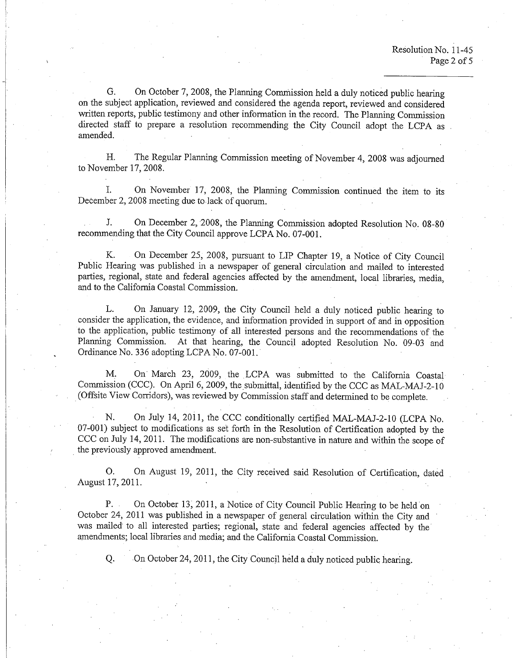On October 7, 2008, the Planning Commission held a duly noticed public hearing G. on the subject application, reviewed and considered the agenda report, reviewed and considered written reports, public testimony and other information in the record. The Planning Commission directed staff to prepare a resolution recommending the City Council adopt the LCPA as amended.

H. The Regular Planning Commission meeting of November 4, 2008 was adjourned to November 17, 2008.

Ĭ. On November 17, 2008, the Planning Commission continued the item to its December 2, 2008 meeting due to lack of quorum.

J. On December 2, 2008, the Planning Commission adopted Resolution No. 08-80 recommending that the City Council approve LCPA No. 07-001.

K. On December 25, 2008, pursuant to LIP Chapter 19, a Notice of City Council Public Hearing was published in a newspaper of general circulation and mailed to interested parties, regional, state and federal agencies affected by the amendment, local libraries, media, and to the California Coastal Commission.

L. On January 12, 2009, the City Council held a duly noticed public hearing to consider the application, the evidence, and information provided in support of and in opposition to the application, public testimony of all interested persons and the recommendations of the Planning Commission. At that hearing, the Council adopted Resolution No. 09-03 and Ordinance No. 336 adopting LCPA No. 07-001.

On March 23, 2009, the LCPA was submitted to the California Coastal M. Commission (CCC). On April 6, 2009, the submittal, identified by the CCC as MAL-MAJ-2-10 (Offsite View Corridors), was reviewed by Commission staff and determined to be complete.

On July 14, 2011, the CCC conditionally certified MAL-MAJ-2-10 (LCPA No. N. 07-001) subject to modifications as set forth in the Resolution of Certification adopted by the CCC on July 14, 2011. The modifications are non-substantive in nature and within the scope of the previously approved amendment.

On August 19, 2011, the City received said Resolution of Certification, dated Ο. August 17, 2011.

On October 13, 2011, a Notice of City Council Public Hearing to be held on  $P_{\cdot}$ . October 24, 2011 was published in a newspaper of general circulation within the City and was mailed to all interested parties; regional, state and federal agencies affected by the amendments; local libraries and media; and the California Coastal Commission.

On October 24, 2011, the City Council held a duly noticed public hearing. Q.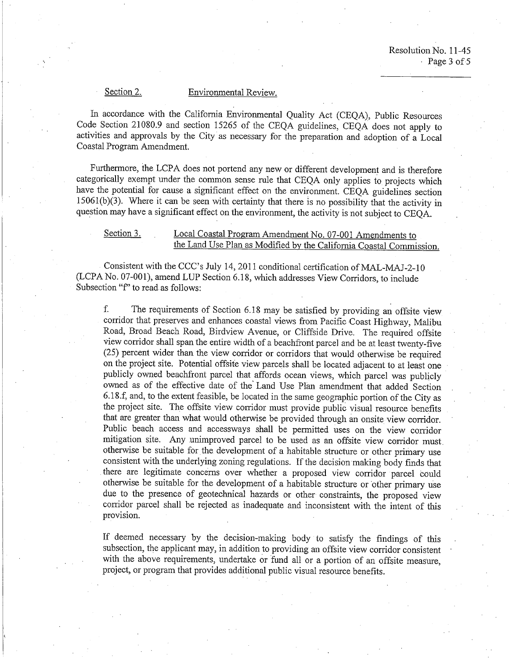## Section 2.

## Environmental Review.

In accordance with the California Environmental Quality Act (CEQA), Public Resources Code Section 21080.9 and section 15265 of the CEQA guidelines, CEQA does not apply to activities and approvals by the City as necessary for the preparation and adoption of a Local Coastal Program Amendment.

Furthermore, the LCPA does not portend any new or different development and is therefore categorically exempt under the common sense rule that CEOA only applies to projects which have the potential for cause a significant effect on the environment. CEOA guidelines section  $15061(b)(3)$ . Where it can be seen with certainty that there is no possibility that the activity in question may have a significant effect on the environment, the activity is not subject to CEOA.

### Section 3. Local Coastal Program Amendment No. 07-001 Amendments to the Land Use Plan as Modified by the California Coastal Commission.

Consistent with the CCC's July 14, 2011 conditional certification of MAL-MAJ-2-10 (LCPA No. 07-001), amend LUP Section 6.18, which addresses View Corridors, to include Subsection "f" to read as follows:

 $f_{\cdot}$ The requirements of Section 6.18 may be satisfied by providing an offsite view corridor that preserves and enhances coastal views from Pacific Coast Highway, Malibu Road, Broad Beach Road, Birdview Avenue, or Cliffside Drive. The required offsite view corridor shall span the entire width of a beachfront parcel and be at least twenty-five (25) percent wider than the view corridor or corridors that would otherwise be required on the project site. Potential offsite view parcels shall be located adjacent to at least one publicly owned beachfront parcel that affords ocean views, which parcel was publicly owned as of the effective date of the Land Use Plan amendment that added Section 6.18.f, and, to the extent feasible, be located in the same geographic portion of the City as the project site. The offsite view corridor must provide public visual resource benefits that are greater than what would otherwise be provided through an onsite view corridor. Public beach access and accessways shall be permitted uses on the view corridor mitigation site. Any unimproved parcel to be used as an offsite view corridor must otherwise be suitable for the development of a habitable structure or other primary use consistent with the underlying zoning regulations. If the decision making body finds that there are legitimate concerns over whether a proposed view corridor parcel could otherwise be suitable for the development of a habitable structure or other primary use due to the presence of geotechnical hazards or other constraints, the proposed view corridor parcel shall be rejected as inadequate and inconsistent with the intent of this provision.

If deemed necessary by the decision-making body to satisfy the findings of this subsection, the applicant may, in addition to providing an offsite view corridor consistent with the above requirements, undertake or fund all or a portion of an offsite measure, project, or program that provides additional public visual resource benefits.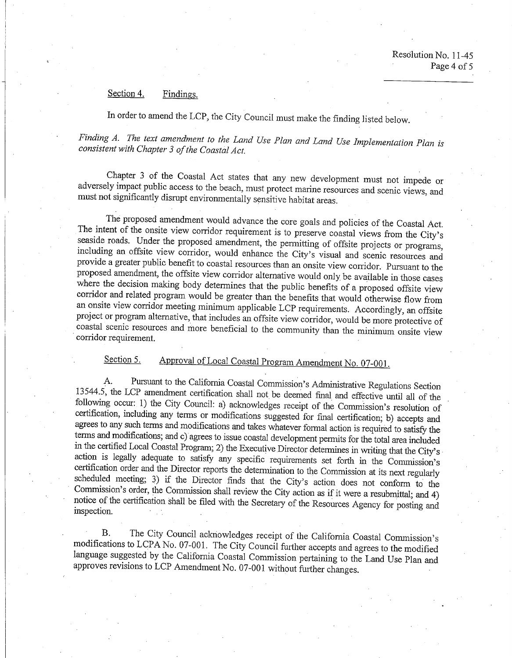#### Section 4. Findings.

In order to amend the LCP, the City Council must make the finding listed below.

Finding A. The text amendment to the Land Use Plan and Land Use Implementation Plan is consistent with Chapter 3 of the Coastal Act.

Chapter 3 of the Coastal Act states that any new development must not impede or adversely impact public access to the beach, must protect marine resources and scenic views, and must not significantly disrupt environmentally sensitive habitat areas.

The proposed amendment would advance the core goals and policies of the Coastal Act. The intent of the onsite view corridor requirement is to preserve coastal views from the City's seaside roads. Under the proposed amendment, the permitting of offsite projects or programs, including an offsite view corridor, would enhance the City's visual and scenic resources and provide a greater public benefit to coastal resources than an onsite view corridor. Pursuant to the proposed amendment, the offsite view corridor alternative would only be available in those cases where the decision making body determines that the public benefits of a proposed offsite view corridor and related program would be greater than the benefits that would otherwise flow from an onsite view corridor meeting minimum applicable LCP requirements. Accordingly, an offsite project or program alternative, that includes an offsite view corridor, would be more protective of coastal scenic resources and more beneficial to the community than the minimum onsite view corridor requirement.

Approval of Local Coastal Program Amendment No. 07-001. Section 5.

Pursuant to the California Coastal Commission's Administrative Regulations Section A. 13544.5, the LCP amendment certification shall not be deemed final and effective until all of the following occur: 1) the City Council: a) acknowledges receipt of the Commission's resolution of certification, including any terms or modifications suggested for final certification; b) accepts and agrees to any such terms and modifications and takes whatever formal action is required to satisfy the terms and modifications; and c) agrees to issue coastal development permits for the total area included in the certified Local Coastal Program; 2) the Executive Director determines in writing that the City's action is legally adequate to satisfy any specific requirements set forth in the Commission's certification order and the Director reports the determination to the Commission at its next regularly scheduled meeting; 3) if the Director finds that the City's action does not conform to the Commission's order, the Commission shall review the City action as if it were a resubmittal; and 4) notice of the certification shall be filed with the Secretary of the Resources Agency for posting and inspection.

The City Council acknowledges receipt of the California Coastal Commission's Β. modifications to LCPA No. 07-001. The City Council further accepts and agrees to the modified language suggested by the California Coastal Commission pertaining to the Land Use Plan and approves revisions to LCP Amendment No. 07-001 without further changes.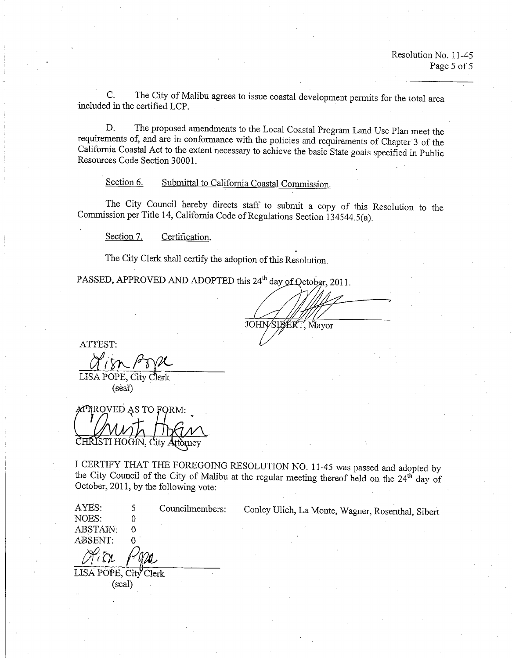The City of Malibu agrees to issue coastal development permits for the total area  $C_{\cdot}$ included in the certified LCP.

The proposed amendments to the Local Coastal Program Land Use Plan meet the D. requirements of, and are in conformance with the policies and requirements of Chapter 3 of the California Coastal Act to the extent necessary to achieve the basic State goals specified in Public Resources Code Section 30001.

Submittal to California Coastal Commission. Section 6.

The City Council hereby directs staff to submit a copy of this Resolution to the Commission per Title 14, California Code of Regulations Section 134544.5(a).

Section 7. Certification.

The City Clerk shall certify the adoption of this Resolution.

PASSED, APPROVED AND ADOPTED this 24<sup>th</sup> day of October, 2011.

JOHN/SILERT, Mayor

ATTEST:

LISA POPE, City Clerk (seal)

**APRROVED AS TO FORM:** TI HOGII

I CERTIFY THAT THE FOREGOING RESOLUTION NO. 11-45 was passed and adopted by the City Council of the City of Malibu at the regular meeting thereof held on the 24<sup>th</sup> day of October, 2011, by the following vote:

AYES: 5 Councilmembers: NOES:  $\Omega$ **ABSTAIN:**  $\Omega$ ABSENT:  $\Omega$ 

LISA POPE, City Clerk  $\cdot$ (seal)

Conley Ulich, La Monte, Wagner, Rosenthal, Sibert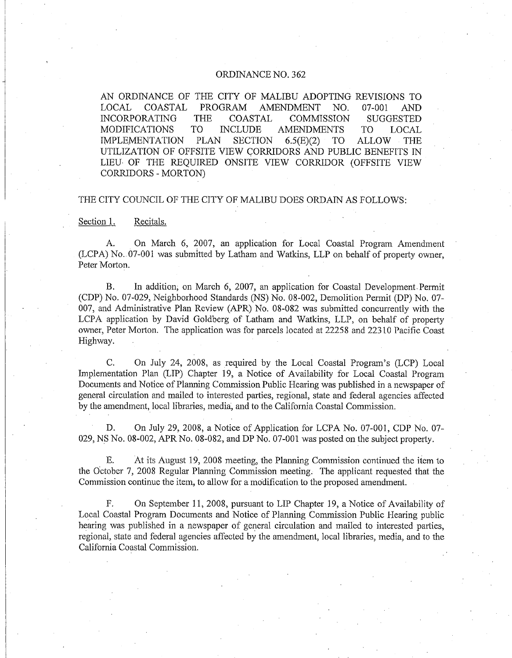## ORDINANCE NO. 362

AN ORDINANCE OF THE CITY OF MALIBU ADOPTING REVISIONS TO LOCAL COASTAL PROGRAM **AMENDMENT** NO.  $07 - 001$ **AND COASTAL INCORPORATING THE COMMISSION SUGGESTED MODIFICATIONS** T<sub>O</sub> **INCLUDE AMENDMENTS** TO<sub>1</sub> LOCAL. **SECTION IMPLEMENTATION PLAN**  $6.5(E)(2)$ **TO ALLOW THE** UTILIZATION OF OFFSITE VIEW CORRIDORS AND PUBLIC BENEFITS IN LIEU OF THE REQUIRED ONSITE VIEW CORRIDOR (OFFSITE VIEW CORRIDORS - MORTON)

### THE CITY COUNCIL OF THE CITY OF MALIBU DOES ORDAIN AS FOLLOWS:

Section 1. Recitals.

On March 6, 2007, an application for Local Coastal Program Amendment А. (LCPA) No. 07-001 was submitted by Latham and Watkins, LLP on behalf of property owner, Peter Morton.

In addition, on March 6, 2007, an application for Coastal Development Permit **B.** (CDP) No. 07-029, Neighborhood Standards (NS) No. 08-002, Demolition Permit (DP) No. 07-007, and Administrative Plan Review (APR) No. 08-082 was submitted concurrently with the LCPA application by David Goldberg of Latham and Watkins, LLP, on behalf of property owner, Peter Morton. The application was for parcels located at 22258 and 22310 Pacific Coast Highway.

 $C_{\alpha}$ On July 24, 2008, as required by the Local Coastal Program's (LCP) Local Implementation Plan (LIP) Chapter 19, a Notice of Availability for Local Coastal Program Documents and Notice of Planning Commission Public Hearing was published in a newspaper of general circulation and mailed to interested parties, regional, state and federal agencies affected by the amendment, local libraries, media, and to the California Coastal Commission.

D. On July 29, 2008, a Notice of Application for LCPA No. 07-001, CDP No. 07-029, NS No. 08-002, APR No. 08-082, and DP No. 07-001 was posted on the subject property.

E. At its August 19, 2008 meeting, the Planning Commission continued the item to the October 7, 2008 Regular Planning Commission meeting. The applicant requested that the Commission continue the item, to allow for a modification to the proposed amendment.

On September 11, 2008, pursuant to LIP Chapter 19, a Notice of Availability of F. Local Coastal Program Documents and Notice of Planning Commission Public Hearing public hearing was published in a newspaper of general circulation and mailed to interested parties, regional, state and federal agencies affected by the amendment, local libraries, media, and to the California Coastal Commission.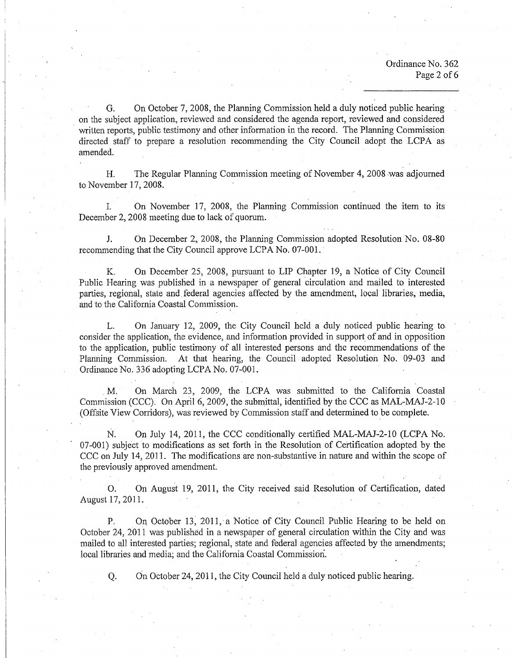On October 7, 2008, the Planning Commission held a duly noticed public hearing G. on the subject application, reviewed and considered the agenda report, reviewed and considered written reports, public testimony and other information in the record. The Planning Commission directed staff to prepare a resolution recommending the City Council adopt the LCPA as amended.

The Regular Planning Commission meeting of November 4, 2008 was adjourned Н. to November 17, 2008.

L. On November 17, 2008, the Planning Commission continued the item to its December 2, 2008 meeting due to lack of quorum.

On December 2, 2008, the Planning Commission adopted Resolution No. 08-80  $J.$ recommending that the City Council approve LCPA No. 07-001.

K. On December 25, 2008, pursuant to LIP Chapter 19, a Notice of City Council Public Hearing was published in a newspaper of general circulation and mailed to interested parties, regional, state and federal agencies affected by the amendment, local libraries, media, and to the California Coastal Commission.

On January 12, 2009, the City Council held a duly noticed public hearing to L. consider the application, the evidence, and information provided in support of and in opposition to the application, public testimony of all interested persons and the recommendations of the Planning Commission. At that hearing, the Council adopted Resolution No. 09-03 and Ordinance No. 336 adopting LCPA No. 07-001.

On March 23, 2009, the LCPA was submitted to the California Coastal  $M_{\odot}$ Commission (CCC). On April 6, 2009, the submittal, identified by the CCC as MAL-MAJ-2-10 (Offsite View Corridors), was reviewed by Commission staff and determined to be complete.

N. On July 14, 2011, the CCC conditionally certified MAL-MAJ-2-10 (LCPA No. 07-001) subject to modifications as set forth in the Resolution of Certification adopted by the CCC on July 14, 2011. The modifications are non-substantive in nature and within the scope of the previously approved amendment.

On August 19, 2011, the City received said Resolution of Certification, dated Ο. August 17, 2011.

On October 13, 2011, a Notice of City Council Public Hearing to be held on P. October 24, 2011 was published in a newspaper of general circulation within the City and was mailed to all interested parties; regional, state and federal agencies affected by the amendments; local libraries and media; and the California Coastal Commission.

On October 24, 2011, the City Council held a duly noticed public hearing.

Q.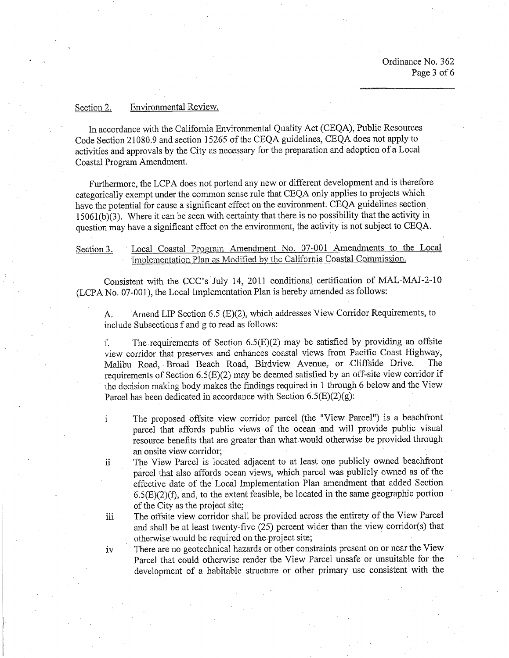#### Environmental Review. Section 2.

iii.

iv

In accordance with the California Environmental Quality Act (CEQA), Public Resources Code Section 21080.9 and section 15265 of the CEOA guidelines, CEOA does not apply to activities and approvals by the City as necessary for the preparation and adoption of a Local Coastal Program Amendment.

Furthermore, the LCPA does not portend any new or different development and is therefore categorically exempt under the common sense rule that CEQA only applies to projects which have the potential for cause a significant effect on the environment. CEQA guidelines section 15061(b)(3). Where it can be seen with certainty that there is no possibility that the activity in question may have a significant effect on the environment, the activity is not subject to CEOA.

### Local Coastal Program Amendment No. 07-001 Amendments to the Local Section 3. Implementation Plan as Modified by the California Coastal Commission.

Consistent with the CCC's July 14, 2011 conditional certification of MAL-MAJ-2-10 (LCPA No. 07-001), the Local Implementation Plan is hereby amended as follows:

Amend LIP Section 6.5 (E)(2), which addresses View Corridor Requirements, to A. include Subsections f and g to read as follows:

The requirements of Section  $6.5(E)(2)$  may be satisfied by providing an offsite f. view corridor that preserves and enhances coastal views from Pacific Coast Highway, Malibu Road, Broad Beach Road, Birdview Avenue, or Cliffside Drive. The requirements of Section 6.5(E)(2) may be deemed satisfied by an off-site view corridor if the decision making body makes the findings required in 1 through 6 below and the View Parcel has been dedicated in accordance with Section  $6.5(E)(2)(g)$ :

- The proposed offsite view corridor parcel (the "View Parcel") is a beachfront  $\mathbf{i}$ parcel that affords public views of the ocean and will provide public visual resource benefits that are greater than what would otherwise be provided through an onsite view corridor;
- The View Parcel is located adjacent to at least one publicly owned beachfront *ii* parcel that also affords ocean views, which parcel was publicly owned as of the effective date of the Local Implementation Plan amendment that added Section  $6.5(E)(2)(f)$ , and, to the extent feasible, be located in the same geographic portion of the City as the project site;

The offsite view corridor shall be provided across the entirety of the View Parcel and shall be at least twenty-five (25) percent wider than the view corridor(s) that otherwise would be required on the project site;

There are no geotechnical hazards or other constraints present on or near the View Parcel that could otherwise render the View Parcel unsafe or unsuitable for the development of a habitable structure or other primary use consistent with the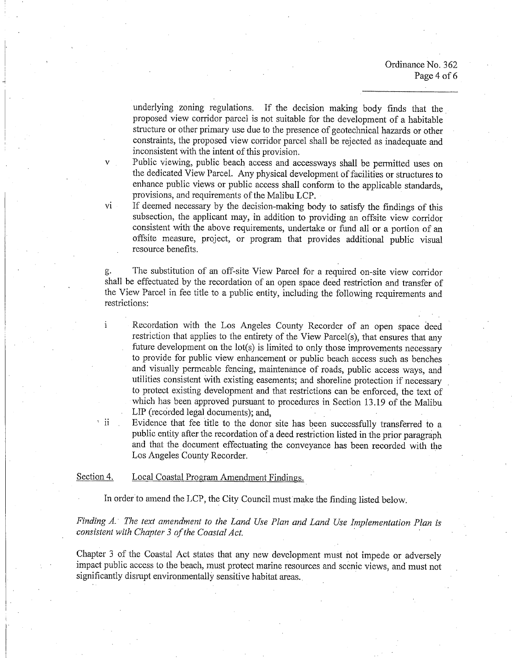Ordinance No. 362 Page 4 of 6

underlying zoning regulations. If the decision making body finds that the proposed view corridor parcel is not suitable for the development of a habitable structure or other primary use due to the presence of geotechnical hazards or other constraints, the proposed view corridor parcel shall be rejected as inadequate and inconsistent with the intent of this provision.

Public viewing, public beach access and accessways shall be permitted uses on the dedicated View Parcel. Any physical development of facilities or structures to enhance public views or public access shall conform to the applicable standards, provisions, and requirements of the Malibu LCP.

 $\overline{\mathbf{vi}}$ 

 $\mathbf{i}$ 

 $\overline{\mathbf{ii}}$ 

If deemed necessary by the decision-making body to satisfy the findings of this subsection, the applicant may, in addition to providing an offsite view corridor consistent with the above requirements, undertake or fund all or a portion of an offsite measure, project, or program that provides additional public visual resource benefits.

The substitution of an off-site View Parcel for a required on-site view corridor g. shall be effectuated by the recordation of an open space deed restriction and transfer of the View Parcel in fee title to a public entity, including the following requirements and restrictions:

Recordation with the Los Angeles County Recorder of an open space deed restriction that applies to the entirety of the View Parcel(s), that ensures that any future development on the lot(s) is limited to only those improvements necessary to provide for public view enhancement or public beach access such as benches and visually permeable fencing, maintenance of roads, public access ways, and utilities consistent with existing easements; and shoreline protection if necessary to protect existing development and that restrictions can be enforced, the text of which has been approved pursuant to procedures in Section 13.19 of the Malibu LIP (recorded legal documents); and,

Evidence that fee title to the donor site has been successfully transferred to a public entity after the recordation of a deed restriction listed in the prior paragraph and that the document effectuating the conveyance has been recorded with the Los Angeles County Recorder.

Section 4. Local Coastal Program Amendment Findings.

In order to amend the LCP, the City Council must make the finding listed below.

Finding A. The text amendment to the Land Use Plan and Land Use Implementation Plan is consistent with Chapter 3 of the Coastal Act.

Chapter 3 of the Coastal Act states that any new development must not impede or adversely impact public access to the beach, must protect marine resources and scenic views, and must not significantly disrupt environmentally sensitive habitat areas.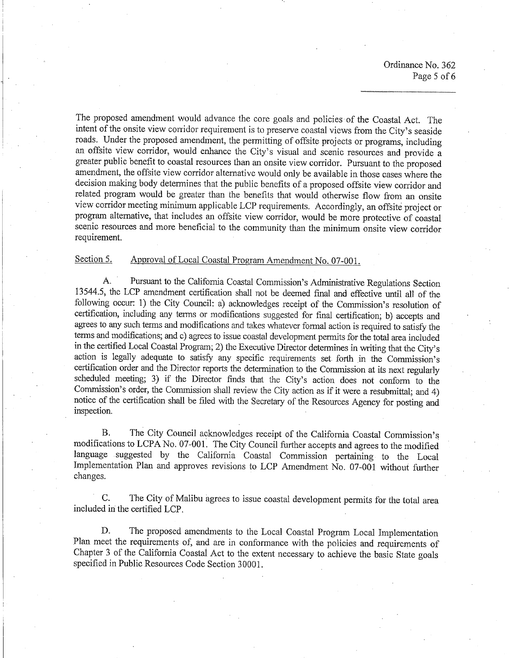Ordinance No. 362 Page 5 of 6

The proposed amendment would advance the core goals and policies of the Coastal Act. The intent of the onsite view corridor requirement is to preserve coastal views from the City's seaside roads. Under the proposed amendment, the permitting of offsite projects or programs, including an offsite view corridor, would enhance the City's visual and scenic resources and provide a greater public benefit to coastal resources than an onsite view corridor. Pursuant to the proposed amendment, the offsite view corridor alternative would only be available in those cases where the decision making body determines that the public benefits of a proposed offsite view corridor and related program would be greater than the benefits that would otherwise flow from an onsite view corridor meeting minimum applicable LCP requirements. Accordingly, an offsite project or program alternative, that includes an offsite view corridor, would be more protective of coastal scenic resources and more beneficial to the community than the minimum onsite view corridor requirement.

#### Approval of Local Coastal Program Amendment No. 07-001. Section 5.

 $\mathbf{A}$ . Pursuant to the California Coastal Commission's Administrative Regulations Section 13544.5, the LCP amendment certification shall not be deemed final and effective until all of the following occur: 1) the City Council: a) acknowledges receipt of the Commission's resolution of certification, including any terms or modifications suggested for final certification; b) accepts and agrees to any such terms and modifications and takes whatever formal action is required to satisfy the terms and modifications; and c) agrees to issue coastal development permits for the total area included in the certified Local Coastal Program; 2) the Executive Director determines in writing that the City's action is legally adequate to satisfy any specific requirements set forth in the Commission's certification order and the Director reports the determination to the Commission at its next regularly scheduled meeting; 3) if the Director finds that the City's action does not conform to the Commission's order, the Commission shall review the City action as if it were a resubmittal; and 4) notice of the certification shall be filed with the Secretary of the Resources Agency for posting and inspection.

 $B<sub>1</sub>$ The City Council acknowledges receipt of the California Coastal Commission's modifications to LCPA No. 07-001. The City Council further accepts and agrees to the modified language suggested by the California Coastal Commission pertaining to the Local Implementation Plan and approves revisions to LCP Amendment No. 07-001 without further changes.

C. The City of Malibu agrees to issue coastal development permits for the total area included in the certified LCP.

D. The proposed amendments to the Local Coastal Program Local Implementation Plan meet the requirements of, and are in conformance with the policies and requirements of Chapter 3 of the California Coastal Act to the extent necessary to achieve the basic State goals specified in Public Resources Code Section 30001.